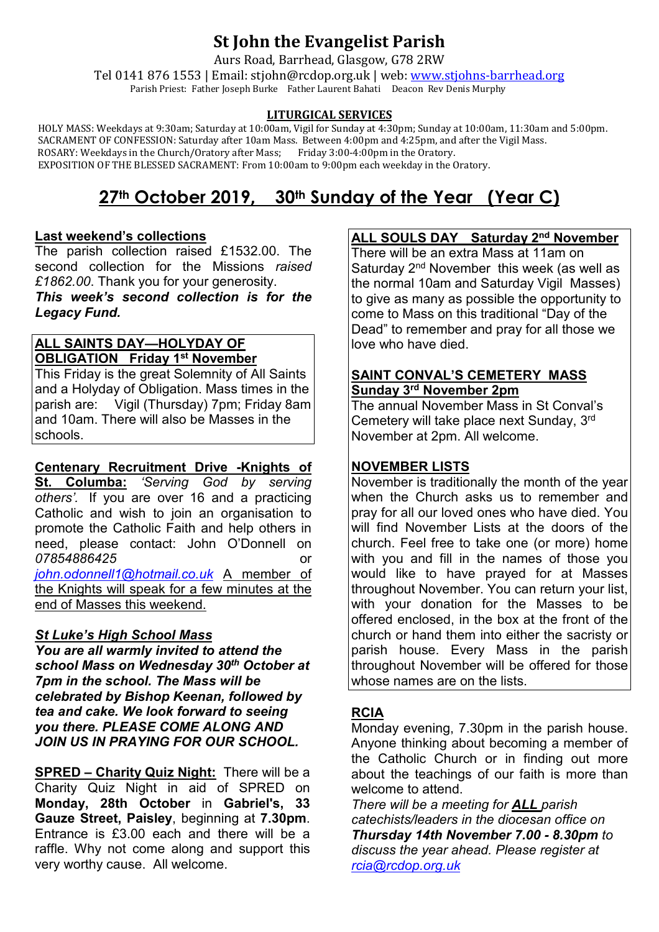# **St John the Evangelist Parish**

Aurs Road, Barrhead, Glasgow, G78 2RW

Tel 0141 876 1553 | Email: stjohn@rcdop.org.uk | web: [www.stjohns-barrhead.org](http://www.stjohns-barrhead.org/) Parish Priest: Father Joseph Burke Father Laurent Bahati Deacon Rev Denis Murphy

#### **LITURGICAL SERVICES**

 HOLY MASS: Weekdays at 9:30am; Saturday at 10:00am, Vigil for Sunday at 4:30pm; Sunday at 10:00am, 11:30am and 5:00pm. SACRAMENT OF CONFESSION: Saturday after 10am Mass. Between 4:00pm and 4:25pm, and after the Vigil Mass.<br>ROSARY: Weekdays in the Church/Oratory after Mass; Friday 3:00-4:00pm in the Oratory. ROSARY: Weekdays in the Church/Oratory after Mass; Friday 3:00-4:00pm in the Oratory. EXPOSITION OF THE BLESSED SACRAMENT: From 10:00am to 9:00pm each weekday in the Oratory.

# **27th October 2019, 30th Sunday of the Year (Year C)**

#### **Last weekend's collections**

The parish collection raised £1532.00. The second collection for the Missions *raised £1862.00*. Thank you for your generosity. *This week's second collection is for the* 

*Legacy Fund.*

#### **ALL SAINTS DAY—HOLYDAY OF OBLIGATION Friday 1st November**

This Friday is the great Solemnity of All Saints and a Holyday of Obligation. Mass times in the parish are: Vigil (Thursday) 7pm; Friday 8am and 10am. There will also be Masses in the schools.

**Centenary Recruitment Drive -Knights of St. Columba:** *'Serving God by serving others'.* If you are over 16 and a practicing Catholic and wish to join an organisation to promote the Catholic Faith and help others in need, please contact: John O'Donnell on *07854886425* or *[john.odonnell1@hotmail.co.uk](mailto:john.odonnell1@hotmail.co.uk)* A member of the Knights will speak for a few minutes at the end of Masses this weekend.

#### *St Luke's High School Mass*

*You are all warmly invited to attend the school Mass on Wednesday 30th October at 7pm in the school. The Mass will be celebrated by Bishop Keenan, followed by tea and cake. We look forward to seeing you there. PLEASE COME ALONG AND JOIN US IN PRAYING FOR OUR SCHOOL.*

**SPRED – Charity Quiz Night:** There will be a Charity Quiz Night in aid of SPRED on **Monday, 28th October** in **Gabriel's, 33 Gauze Street, Paisley**, beginning at **7.30pm**. Entrance is £3.00 each and there will be a raffle. Why not come along and support this very worthy cause. All welcome.

## **ALL SOULS DAY Saturday 2nd November**

There will be an extra Mass at 11am on Saturday 2<sup>nd</sup> November this week (as well as the normal 10am and Saturday Vigil Masses) to give as many as possible the opportunity to come to Mass on this traditional "Day of the Dead" to remember and pray for all those we love who have died.

#### **SAINT CONVAL'S CEMETERY MASS Sunday 3rd November 2pm**

The annual November Mass in St Conval's Cemetery will take place next Sunday, 3rd November at 2pm. All welcome.

## **NOVEMBER LISTS**

November is traditionally the month of the year when the Church asks us to remember and pray for all our loved ones who have died. You will find November Lists at the doors of the church. Feel free to take one (or more) home with you and fill in the names of those you would like to have prayed for at Masses throughout November. You can return your list, with your donation for the Masses to be offered enclosed, in the box at the front of the church or hand them into either the sacristy or parish house. Every Mass in the parish throughout November will be offered for those whose names are on the lists.

## **RCIA**

Monday evening, 7.30pm in the parish house. Anyone thinking about becoming a member of the Catholic Church or in finding out more about the teachings of our faith is more than welcome to attend.

*There will be a meeting for ALL parish catechists/leaders in the diocesan office on Thursday 14th November 7.00 - 8.30pm to discuss the year ahead. Please register at [rcia@rcdop.org.uk](mailto:rcia@rcdop.org.uk)*